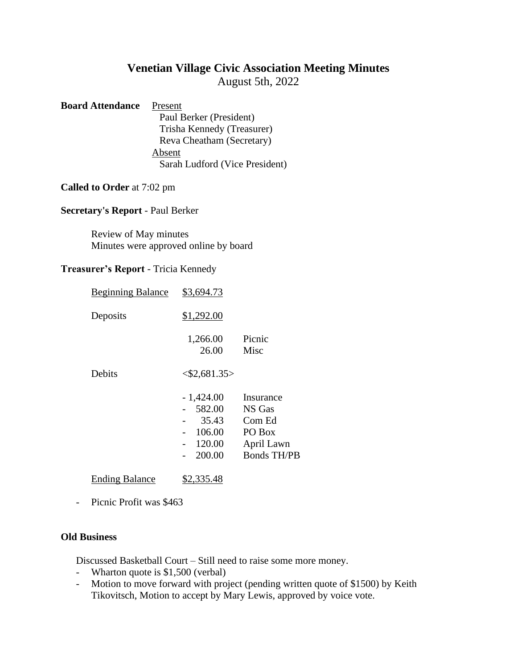# **Venetian Village Civic Association Meeting Minutes**

August 5th, 2022

## **Board Attendance** Present Paul Berker (President) Trisha Kennedy (Treasurer) Reva Cheatham (Secretary) Absent Sarah Ludford (Vice President)

#### **Called to Order** at 7:02 pm

## **Secretary's Report** - Paul Berker

Review of May minutes Minutes were approved online by board

#### **Treasurer's Report** - Tricia Kennedy

| <b>Beginning Balance</b> | \$3,694.73                                                   |                                                                             |
|--------------------------|--------------------------------------------------------------|-----------------------------------------------------------------------------|
| Deposits                 | \$1,292.00                                                   |                                                                             |
|                          | 1,266.00<br>26.00                                            | Picnic<br>Misc                                                              |
| Debits                   | $<\frac{$2,681.35>}{$                                        |                                                                             |
|                          | $-1,424.00$<br>582.00<br>35.43<br>106.00<br>120.00<br>200.00 | Insurance<br>NS Gas<br>Com Ed<br>PO Box<br>April Lawn<br><b>Bonds TH/PB</b> |
| <b>Ending Balance</b>    | \$2,335.48                                                   |                                                                             |

- Picnic Profit was \$463

#### **Old Business**

Discussed Basketball Court – Still need to raise some more money.

- Wharton quote is \$1,500 (verbal)
- Motion to move forward with project (pending written quote of \$1500) by Keith Tikovitsch, Motion to accept by Mary Lewis, approved by voice vote.